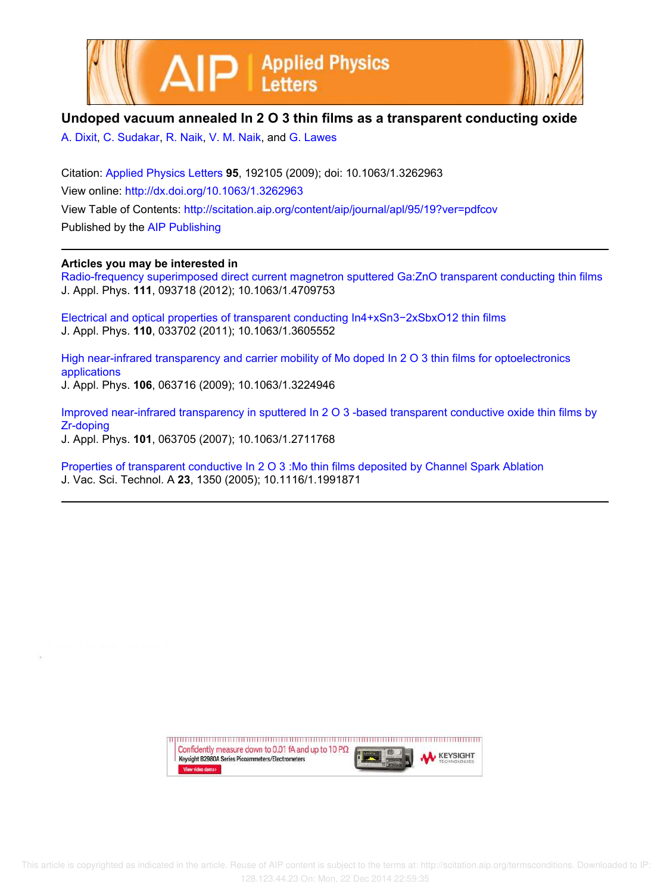



## **Undoped vacuum annealed In 2 O 3 thin films as a transparent conducting oxide**

A. Dixit, C. Sudakar, R. Naik, V. M. Naik, and G. Lawes

Citation: Applied Physics Letters **95**, 192105 (2009); doi: 10.1063/1.3262963 View online: http://dx.doi.org/10.1063/1.3262963 View Table of Contents: http://scitation.aip.org/content/aip/journal/apl/95/19?ver=pdfcov Published by the AIP Publishing

## **Articles you may be interested in**

Radio-frequency superimposed direct current magnetron sputtered Ga: ZnO transparent conducting thin films J. Appl. Phys. **111**, 093718 (2012); 10.1063/1.4709753

Electrical and optical properties of transparent conducting In4+xSn3−2xSbxO12 thin films J. Appl. Phys. **110**, 033702 (2011); 10.1063/1.3605552

High near-infrared transparency and carrier mobility of Mo doped In 2 O 3 thin films for optoelectronics applications J. Appl. Phys. **106**, 063716 (2009); 10.1063/1.3224946

Improved near-infrared transparency in sputtered In 2 O 3 -based transparent conductive oxide thin films by Zr-doping J. Appl. Phys. **101**, 063705 (2007); 10.1063/1.2711768

Properties of transparent conductive In 2 O 3 :Mo thin films deposited by Channel Spark Ablation J. Vac. Sci. Technol. A **23**, 1350 (2005); 10.1116/1.1991871

> upun manan manan manan manan manan manan manan manan manan manan Confidently measure down to 0.01 fA and up to 10 P $\Omega$ **KEYSIGHT** Keysight B2980A Series Picoammeters/Electrometers View video demo>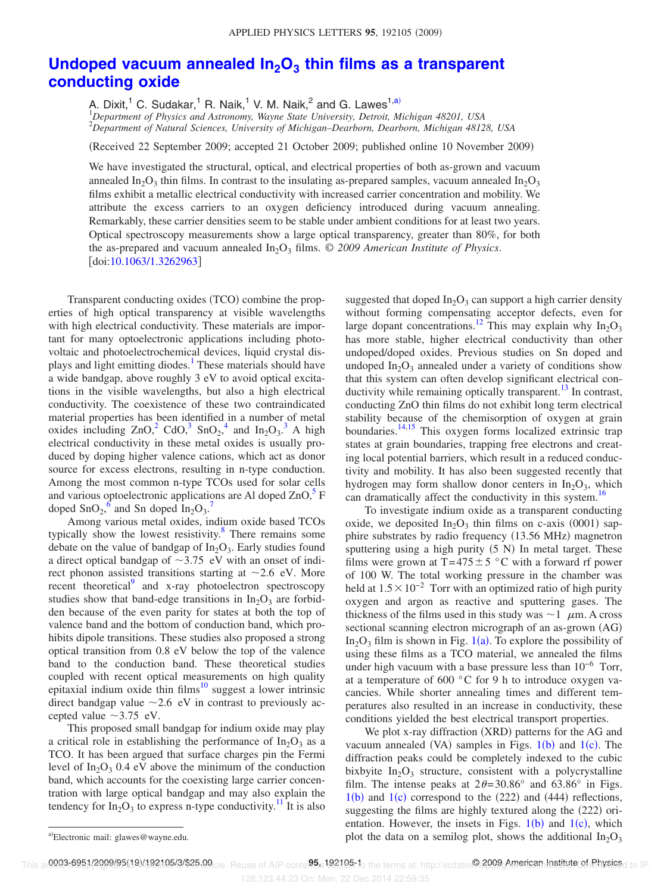## **Undoped vacuum annealed In2O<sup>3</sup> thin films as a transparent conducting oxide**

A. Dixit, $^{1}$  C. Sudakar, $^{1}$  R. Naik, $^{1}$  V. M. Naik, $^{2}$  and G. Lawes $^{1,\text{a)}}$ 

<sup>1</sup>*Department of Physics and Astronomy, Wayne State University, Detroit, Michigan 48201, USA* <sup>2</sup>*Department of Natural Sciences, University of Michigan–Dearborn, Dearborn, Michigan 48128, USA*

Received 22 September 2009; accepted 21 October 2009; published online 10 November 2009-

We have investigated the structural, optical, and electrical properties of both as-grown and vacuum annealed In<sub>2</sub>O<sub>3</sub> thin films. In contrast to the insulating as-prepared samples, vacuum annealed In<sub>2</sub>O<sub>3</sub> films exhibit a metallic electrical conductivity with increased carrier concentration and mobility. We attribute the excess carriers to an oxygen deficiency introduced during vacuum annealing. Remarkably, these carrier densities seem to be stable under ambient conditions for at least two years. Optical spectroscopy measurements show a large optical transparency, greater than 80%, for both the as-prepared and vacuum annealed  $In_2O_3$  films.  $\odot$  2009 American Institute of Physics. [doi:10.1063/1.3262963]

Transparent conducting oxides (TCO) combine the properties of high optical transparency at visible wavelengths with high electrical conductivity. These materials are important for many optoelectronic applications including photovoltaic and photoelectrochemical devices, liquid crystal displays and light emitting diodes.<sup>1</sup> These materials should have a wide bandgap, above roughly 3 eV to avoid optical excitations in the visible wavelengths, but also a high electrical conductivity. The coexistence of these two contraindicated material properties has been identified in a number of metal oxides including  $ZnO<sub>1</sub><sup>2</sup>$  CdO<sub>1</sub><sup>3</sup> SnO<sub>2</sub><sup>4</sup> and In<sub>2</sub>O<sub>3</sub><sup>3</sup> A high electrical conductivity in these metal oxides is usually produced by doping higher valence cations, which act as donor source for excess electrons, resulting in n-type conduction. Among the most common n-type TCOs used for solar cells and various optoelectronic applications are Al doped  $ZnO<sub>1</sub><sup>5</sup>$  F doped  $\text{SnO}_2$ <sup>6</sup> and Sn doped  $\text{In}_2\text{O}_3$ <sup>7</sup>

Among various metal oxides, indium oxide based TCOs typically show the lowest resistivity.<sup>8</sup> There remains some debate on the value of bandgap of  $In_2O_3$ . Early studies found a direct optical bandgap of  $\sim$ 3.75 eV with an onset of indirect phonon assisted transitions starting at  $\sim$  2.6 eV. More recent theoretical<sup>9</sup> and x-ray photoelectron spectroscopy studies show that band-edge transitions in  $In_2O_3$  are forbidden because of the even parity for states at both the top of valence band and the bottom of conduction band, which prohibits dipole transitions. These studies also proposed a strong optical transition from 0.8 eV below the top of the valence band to the conduction band. These theoretical studies coupled with recent optical measurements on high quality epitaxial indium oxide thin films $10$  suggest a lower intrinsic direct bandgap value  $\sim$  2.6 eV in contrast to previously accepted value  $\sim$ 3.75 eV.

This proposed small bandgap for indium oxide may play a critical role in establishing the performance of  $In_2O_3$  as a TCO. It has been argued that surface charges pin the Fermi level of  $In_2O_3$  0.4 eV above the minimum of the conduction band, which accounts for the coexisting large carrier concentration with large optical bandgap and may also explain the tendency for  $In_2O_3$  to express n-type conductivity.<sup>11</sup> It is also

suggested that doped  $In_2O_3$  can support a high carrier density without forming compensating acceptor defects, even for large dopant concentrations.<sup>12</sup> This may explain why  $In_2O_3$ has more stable, higher electrical conductivity than other undoped/doped oxides. Previous studies on Sn doped and undoped  $In_2O_3$  annealed under a variety of conditions show that this system can often develop significant electrical conductivity while remaining optically transparent.<sup>13</sup> In contrast, conducting ZnO thin films do not exhibit long term electrical stability because of the chemisorption of oxygen at grain boundaries.<sup>14,15</sup> This oxygen forms localized extrinsic trap states at grain boundaries, trapping free electrons and creating local potential barriers, which result in a reduced conductivity and mobility. It has also been suggested recently that hydrogen may form shallow donor centers in  $In_2O_3$ , which can dramatically affect the conductivity in this system.<sup>16</sup>

To investigate indium oxide as a transparent conducting oxide, we deposited  $In_2O_3$  thin films on c-axis (0001) sapphire substrates by radio frequency (13.56 MHz) magnetron sputtering using a high purity  $(5 N)$  In metal target. These films were grown at T=475  $\pm$  5 °C with a forward rf power of 100 W. The total working pressure in the chamber was held at  $1.5 \times 10^{-2}$  Torr with an optimized ratio of high purity oxygen and argon as reactive and sputtering gases. The thickness of the films used in this study was  $\sim$  1  $\mu$ m. A cross sectional scanning electron micrograph of an as-grown (AG)  $In_2O_3$  film is shown in Fig. 1(a). To explore the possibility of using these films as a TCO material, we annealed the films under high vacuum with a base pressure less than  $10^{-6}$  Torr, at a temperature of 600 °C for 9 h to introduce oxygen vacancies. While shorter annealing times and different temperatures also resulted in an increase in conductivity, these conditions yielded the best electrical transport properties.

We plot x-ray diffraction (XRD) patterns for the AG and vacuum annealed (VA) samples in Figs.  $1(b)$  and  $1(c)$ . The diffraction peaks could be completely indexed to the cubic bixbyite  $In_2O_3$  structure, consistent with a polycrystalline film. The intense peaks at  $2\theta = 30.86^\circ$  and  $63.86^\circ$  in Figs.  $1(b)$  and  $1(c)$  correspond to the  $(222)$  and  $(444)$  reflections, suggesting the films are highly textured along the (222) orientation. However, the insets in Figs.  $1(b)$  and  $1(c)$ , which plot the data on a semilog plot, shows the additional  $In_2O_3$ 

This ar**0003-6951/2009/95(19)/192105/3/\$25.00**cle. Reuse of AIP conte**95.** 192105:16 the terms at: http://scitatio@2009.American.Instituteret.Physicsd to IP:

a)Electronic mail: glawes@wayne.edu.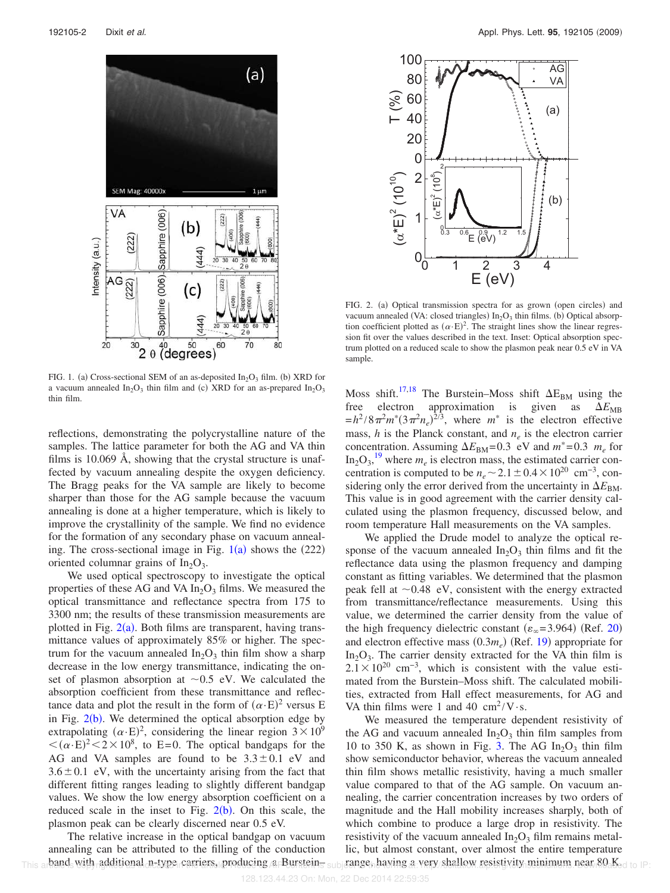

FIG. 1. (a) Cross-sectional SEM of an as-deposited  $In_2O_3$  film. (b) XRD for a vacuum annealed  $In_2O_3$  thin film and (c) XRD for an as-prepared  $In_2O_3$ thin film.

reflections, demonstrating the polycrystalline nature of the samples. The lattice parameter for both the AG and VA thin films is 10.069 Å, showing that the crystal structure is unaffected by vacuum annealing despite the oxygen deficiency. The Bragg peaks for the VA sample are likely to become sharper than those for the AG sample because the vacuum annealing is done at a higher temperature, which is likely to improve the crystallinity of the sample. We find no evidence for the formation of any secondary phase on vacuum annealing. The cross-sectional image in Fig.  $1(a)$  shows the (222) oriented columnar grains of  $In_2O_3$ .

We used optical spectroscopy to investigate the optical properties of these AG and VA  $In<sub>2</sub>O<sub>3</sub>$  films. We measured the optical transmittance and reflectance spectra from 175 to 3300 nm; the results of these transmission measurements are plotted in Fig.  $2(a)$ . Both films are transparent, having transmittance values of approximately 85% or higher. The spectrum for the vacuum annealed  $In_2O_3$  thin film show a sharp decrease in the low energy transmittance, indicating the onset of plasmon absorption at  $\sim 0.5$  eV. We calculated the absorption coefficient from these transmittance and reflectance data and plot the result in the form of  $(\alpha E)^2$  versus E in Fig.  $2(b)$ . We determined the optical absorption edge by extrapolating  $(\alpha E)^2$ , considering the linear region  $3 \times 10^9$  $\langle (\alpha E)^2 \rangle \langle 2 \times 10^8 \rangle$ , to E=0. The optical bandgaps for the AG and VA samples are found to be  $3.3 \pm 0.1$  eV and  $3.6 \pm 0.1$  eV, with the uncertainty arising from the fact that different fitting ranges leading to slightly different bandgap values. We show the low energy absorption coefficient on a reduced scale in the inset to Fig.  $2(b)$ . On this scale, the plasmon peak can be clearly discerned near 0.5 eV.

The relative increase in the optical bandgap on vacuum annealing can be attributed to the filling of the conduction band with additional n-type carriers, producing a Burstein $_{\rm 5 sub}$ This arbands with radditional n-type carriers, producing a Bursteins subjeange, having a very shallow resistivity minimum near 80. Ked to IP:



FIG. 2. (a) Optical transmission spectra for as grown (open circles) and vacuum annealed (VA: closed triangles)  $In_2O_3$  thin films. (b) Optical absorption coefficient plotted as  $(\alpha E)^2$ . The straight lines show the linear regression fit over the values described in the text. Inset: Optical absorption spectrum plotted on a reduced scale to show the plasmon peak near 0.5 eV in VA sample.

Moss shift.<sup>17,18</sup> The Burstein–Moss shift  $\Delta E_{BM}$  using the free electron approximation is given as  $\Delta E_{MR}$  $= h^2/8 \pi^2 m^* (3 \pi^2 n_e)^{2/3}$ , where  $m^*$  is the electron effective mass,  $h$  is the Planck constant, and  $n_e$  is the electron carrier concentration. Assuming  $\Delta E_{BM} = 0.3$  eV and  $m^* = 0.3$   $m_e$  for  $\text{In}_2\text{O}_3$ , <sup>19</sup> where  $m_e$  is electron mass, the estimated carrier concentration is computed to be  $n_e \sim 2.1 \pm 0.4 \times 10^{20}$  cm<sup>-3</sup>, considering only the error derived from the uncertainty in  $\Delta E_{BM}$ . This value is in good agreement with the carrier density calculated using the plasmon frequency, discussed below, and room temperature Hall measurements on the VA samples.

We applied the Drude model to analyze the optical response of the vacuum annealed  $In_2O_3$  thin films and fit the reflectance data using the plasmon frequency and damping constant as fitting variables. We determined that the plasmon peak fell at  $\sim 0.48$  eV, consistent with the energy extracted from transmittance/reflectance measurements. Using this value, we determined the carrier density from the value of the high frequency dielectric constant  $(\varepsilon_{\infty} = 3.964)$  (Ref. 20) and electron effective mass  $(0.3m_e)$  (Ref. 19) appropriate for  $In_2O_3$ . The carrier density extracted for the VA thin film is  $2.1 \times 10^{20}$  cm<sup>-3</sup>, which is consistent with the value estimated from the Burstein–Moss shift. The calculated mobilities, extracted from Hall effect measurements, for AG and VA thin films were 1 and 40  $\text{cm}^2/\text{V}\cdot\text{s}$ .

We measured the temperature dependent resistivity of the AG and vacuum annealed  $In_2O_3$  thin film samples from 10 to 350 K, as shown in Fig. 3. The AG  $In_2O_3$  thin film show semiconductor behavior, whereas the vacuum annealed thin film shows metallic resistivity, having a much smaller value compared to that of the AG sample. On vacuum annealing, the carrier concentration increases by two orders of magnitude and the Hall mobility increases sharply, both of which combine to produce a large drop in resistivity. The resistivity of the vacuum annealed  $In_2O_3$  film remains metallic, but almost constant, over almost the entire temperature